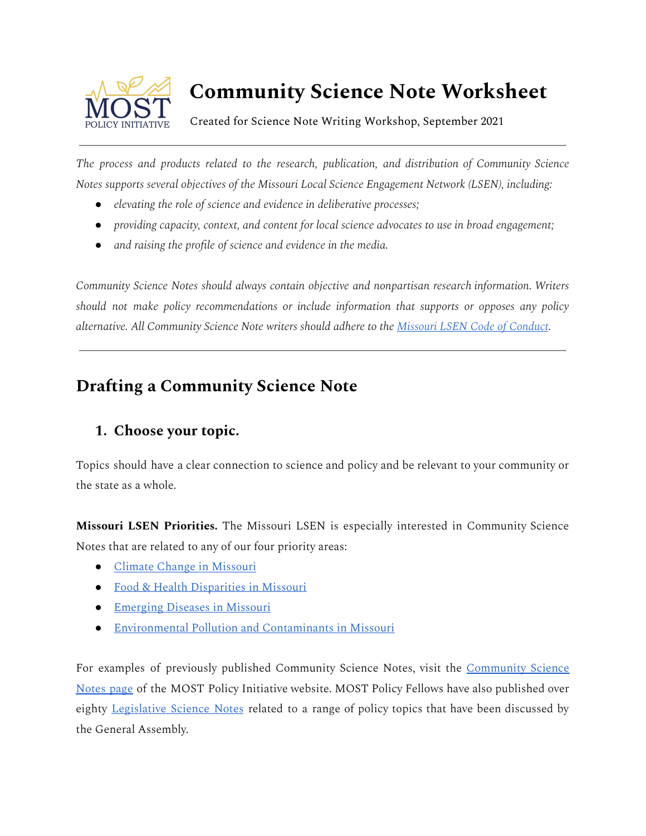

# **Community Science Note Worksheet**

Created for Science Note Writing Workshop, September 2021

*The process and products related to the research, publication, and distribution of Community Science Notes supports several objectives of the Missouri Local Science Engagement Network (LSEN), including:*

- *● elevating the role of science and evidence in deliberative processes;*
- *● providing capacity, context, and content for local science advocates to use in broad engagement;*
- *● and raising the profile of science and evidence in the media.*

*Community Science Notes should always contain objective and nonpartisan research information. Writers should not make policy recommendations or include information that supports or opposes any policy alternative. All Community Science Note writers should adhere to the [Missouri](https://missourilsen.quorum.us/MO_Code_of_Conduct/) LSEN Code of Conduct.*

# **Drafting a Community Science Note**

## **1. Choose your topic.**

Topics should have a clear connection to science and policy and be relevant to your community or the state as a whole.

**Missouri LSEN Priorities.** The Missouri LSEN is especially interested in Community Science Notes that are related to any of our four priority areas:

- [Climate Change in](https://missourilsen.quorum.us/Climate_Change/) Missouri
- Food & Health [Disparities in](https://missourilsen.quorum.us/Food_and_Health_Disparities/) Missouri
- Emerging [Diseases in](https://missourilsen.quorum.us/Emerging_Disease/) Missouri
- [Environmental Pollution](https://missourilsen.quorum.us/Environmental_Pollutants/) and Contaminants in Missouri

For examples of previously published Community Science Notes, visit the [Community](https://mostpolicyinitiative.org/policy-initiatives/community-science-notes/) Science [Notes](https://mostpolicyinitiative.org/policy-initiatives/community-science-notes/) page of the MOST Policy Initiative website. MOST Policy Fellows have also published over eighty [Legislative](https://mostpolicyinitiative.org/policy-initiatives/legislative-science-notes/) Science Notes related to a range of policy topics that have been discussed by the General Assembly.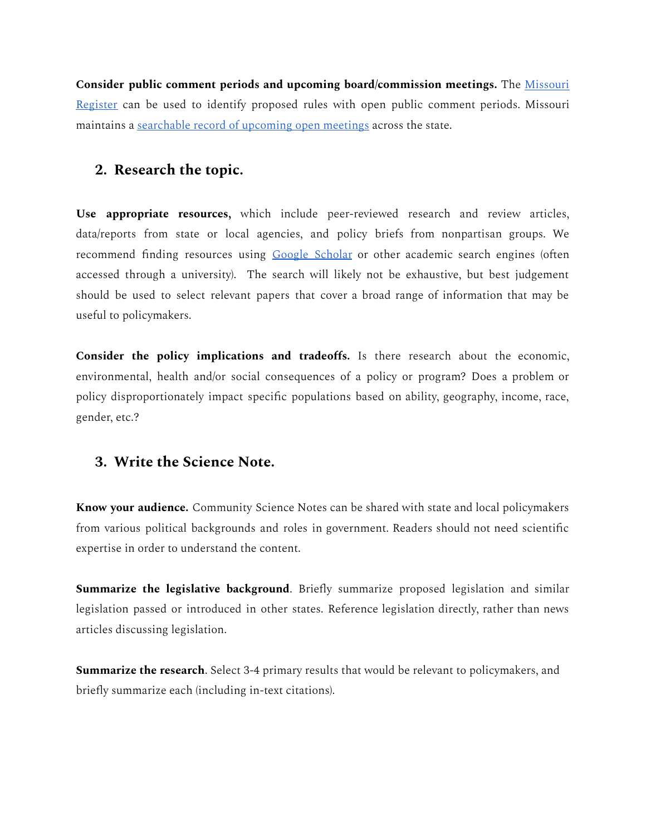**Consider public comment periods and upcoming board/commission meetings.** The [Missouri](https://www.sos.mo.gov/adrules/moreg/moreg.asp) [Register](https://www.sos.mo.gov/adrules/moreg/moreg.asp) can be used to identify proposed rules with open public comment periods. Missouri maintains a [searchable record](https://www.mo.gov/meetings/) of upcoming open meetings across the state.

#### **2. Research the topic.**

**Use appropriate resources,** which include peer-reviewed research and review articles, data/reports from state or local agencies, and policy briefs from nonpartisan groups. We recommend finding resources using Google [Scholar](https://scholar.google.com/) or other academic search engines (often accessed through a university). The search will likely not be exhaustive, but best judgement should be used to select relevant papers that cover a broad range of information that may be useful to policymakers.

**Consider the policy implications and tradeoffs.** Is there research about the economic, environmental, health and/or social consequences of a policy or program? Does a problem or policy disproportionately impact specific populations based on ability, geography, income, race, gender, etc.?

#### **3. Write the Science Note.**

**Know your audience.** Community Science Notes can be shared with state and local policymakers from various political backgrounds and roles in government. Readers should not need scientific expertise in order to understand the content.

**Summarize the legislative background**. Briefly summarize proposed legislation and similar legislation passed or introduced in other states. Reference legislation directly, rather than news articles discussing legislation.

**Summarize the research**. Select 3-4 primary results that would be relevant to policymakers, and briefly summarize each (including in-text citations).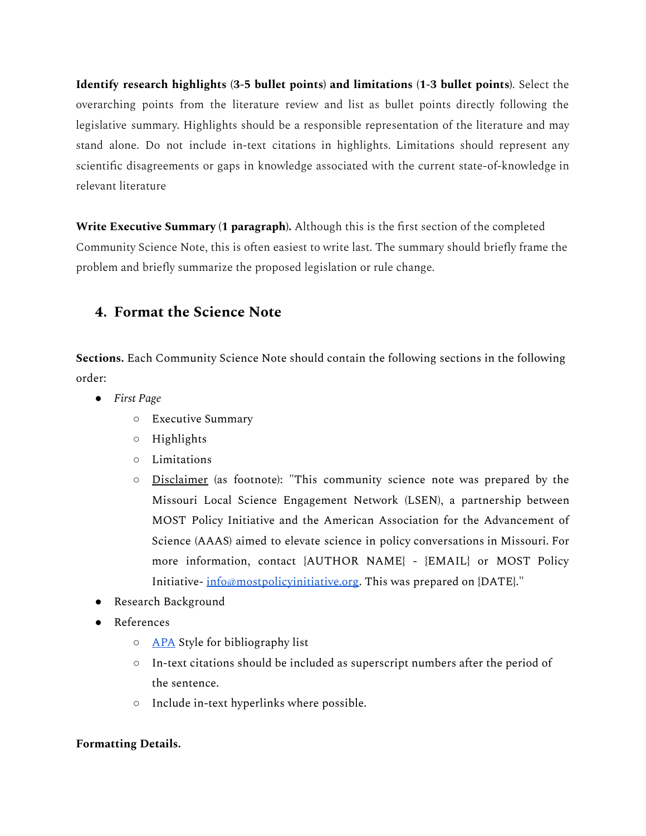**Identify research highlights (3-5 bullet points) and limitations (1-3 bullet points)**. Select the overarching points from the literature review and list as bullet points directly following the legislative summary. Highlights should be a responsible representation of the literature and may stand alone. Do not include in-text citations in highlights. Limitations should represent any scientific disagreements or gaps in knowledge associated with the current state-of-knowledge in relevant literature

**Write Executive Summary (1 paragraph).** Although this is the first section of the completed Community Science Note, this is often easiest to write last. The summary should briefly frame the problem and briefly summarize the proposed legislation or rule change.

### **4. Format the Science Note**

**Sections.** Each Community Science Note should contain the following sections in the following order:

- *● First Page*
	- Executive Summary
	- Highlights
	- Limitations
	- Disclaimer (as footnote): "This community science note was prepared by the Missouri Local Science Engagement Network (LSEN), a partnership between MOST Policy Initiative and the American Association for the Advancement of Science (AAAS) aimed to elevate science in policy conversations in Missouri. For more information, contact {AUTHOR NAME} - {EMAIL} or MOST Policy Initiative- [info@mostpolicyinitiative.org](mailto:info@mostpolicyinitiative.org). This was prepared on {DATE}."
- Research Background
- References
	- <u>[APA](https://owl.purdue.edu/owl/research_and_citation/apa_style/apa_formatting_and_style_guide/general_format.html)</u> Style for bibliography list
	- $\circ$  In-text citations should be included as superscript numbers after the period of the sentence.
	- Include in-text hyperlinks where possible.

#### **Formatting Details.**